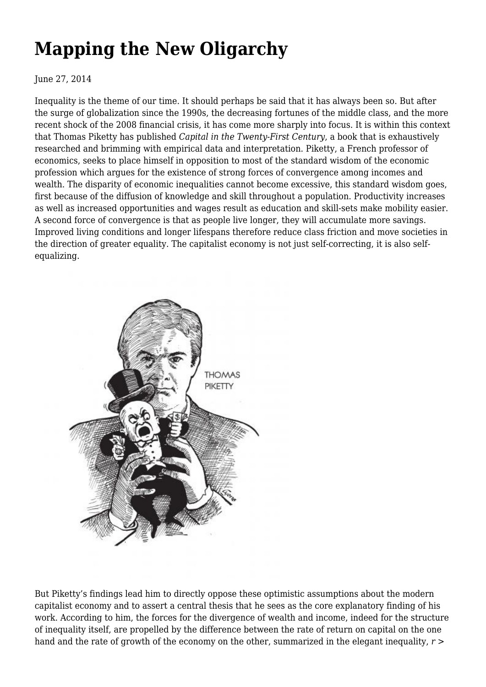## **[Mapping the New Oligarchy](https://newpol.org/review/mapping-new-oligarchy/)**

June 27, 2014

Inequality is the theme of our time. It should perhaps be said that it has always been so. But after the surge of globalization since the 1990s, the decreasing fortunes of the middle class, and the more recent shock of the 2008 financial crisis, it has come more sharply into focus. It is within this context that Thomas Piketty has published *Capital in the Twenty-First Century*, a book that is exhaustively researched and brimming with empirical data and interpretation. Piketty, a French professor of economics, seeks to place himself in opposition to most of the standard wisdom of the economic profession which argues for the existence of strong forces of convergence among incomes and wealth. The disparity of economic inequalities cannot become excessive, this standard wisdom goes, first because of the diffusion of knowledge and skill throughout a population. Productivity increases as well as increased opportunities and wages result as education and skill-sets make mobility easier. A second force of convergence is that as people live longer, they will accumulate more savings. Improved living conditions and longer lifespans therefore reduce class friction and move societies in the direction of greater equality. The capitalist economy is not just self-correcting, it is also selfequalizing.



But Piketty's findings lead him to directly oppose these optimistic assumptions about the modern capitalist economy and to assert a central thesis that he sees as the core explanatory finding of his work. According to him, the forces for the divergence of wealth and income, indeed for the structure of inequality itself, are propelled by the difference between the rate of return on capital on the one hand and the rate of growth of the economy on the other, summarized in the elegant inequality,  $r >$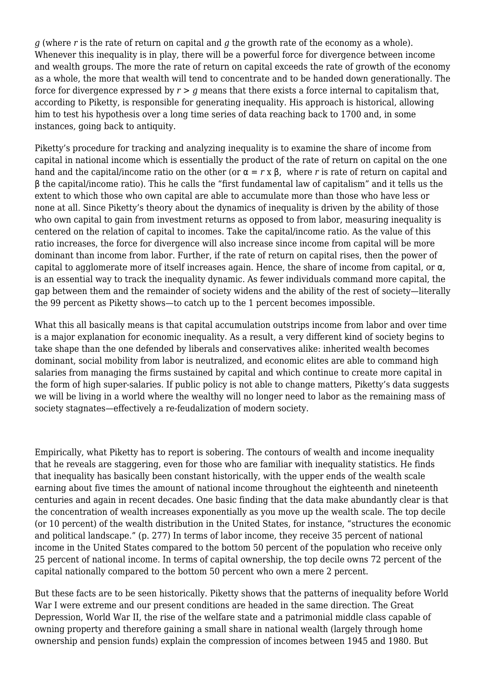*g* (where *r* is the rate of return on capital and *g* the growth rate of the economy as a whole). Whenever this inequality is in play, there will be a powerful force for divergence between income and wealth groups. The more the rate of return on capital exceeds the rate of growth of the economy as a whole, the more that wealth will tend to concentrate and to be handed down generationally. The force for divergence expressed by  $r > g$  means that there exists a force internal to capitalism that, according to Piketty, is responsible for generating inequality. His approach is historical, allowing him to test his hypothesis over a long time series of data reaching back to 1700 and, in some instances, going back to antiquity.

Piketty's procedure for tracking and analyzing inequality is to examine the share of income from capital in national income which is essentially the product of the rate of return on capital on the one hand and the capital/income ratio on the other (or  $\alpha = r \times \beta$ , where *r* is rate of return on capital and β the capital/income ratio). This he calls the "first fundamental law of capitalism" and it tells us the extent to which those who own capital are able to accumulate more than those who have less or none at all. Since Piketty's theory about the dynamics of inequality is driven by the ability of those who own capital to gain from investment returns as opposed to from labor, measuring inequality is centered on the relation of capital to incomes. Take the capital/income ratio. As the value of this ratio increases, the force for divergence will also increase since income from capital will be more dominant than income from labor. Further, if the rate of return on capital rises, then the power of capital to agglomerate more of itself increases again. Hence, the share of income from capital, or  $\alpha$ , is an essential way to track the inequality dynamic. As fewer individuals command more capital, the gap between them and the remainder of society widens and the ability of the rest of society—literally the 99 percent as Piketty shows—to catch up to the 1 percent becomes impossible.

What this all basically means is that capital accumulation outstrips income from labor and over time is a major explanation for economic inequality. As a result, a very different kind of society begins to take shape than the one defended by liberals and conservatives alike: inherited wealth becomes dominant, social mobility from labor is neutralized, and economic elites are able to command high salaries from managing the firms sustained by capital and which continue to create more capital in the form of high super-salaries. If public policy is not able to change matters, Piketty's data suggests we will be living in a world where the wealthy will no longer need to labor as the remaining mass of society stagnates—effectively a re-feudalization of modern society.

Empirically, what Piketty has to report is sobering. The contours of wealth and income inequality that he reveals are staggering, even for those who are familiar with inequality statistics. He finds that inequality has basically been constant historically, with the upper ends of the wealth scale earning about five times the amount of national income throughout the eighteenth and nineteenth centuries and again in recent decades. One basic finding that the data make abundantly clear is that the concentration of wealth increases exponentially as you move up the wealth scale. The top decile (or 10 percent) of the wealth distribution in the United States, for instance, "structures the economic and political landscape." (p. 277) In terms of labor income, they receive 35 percent of national income in the United States compared to the bottom 50 percent of the population who receive only 25 percent of national income. In terms of capital ownership, the top decile owns 72 percent of the capital nationally compared to the bottom 50 percent who own a mere 2 percent.

But these facts are to be seen historically. Piketty shows that the patterns of inequality before World War I were extreme and our present conditions are headed in the same direction. The Great Depression, World War II, the rise of the welfare state and a patrimonial middle class capable of owning property and therefore gaining a small share in national wealth (largely through home ownership and pension funds) explain the compression of incomes between 1945 and 1980. But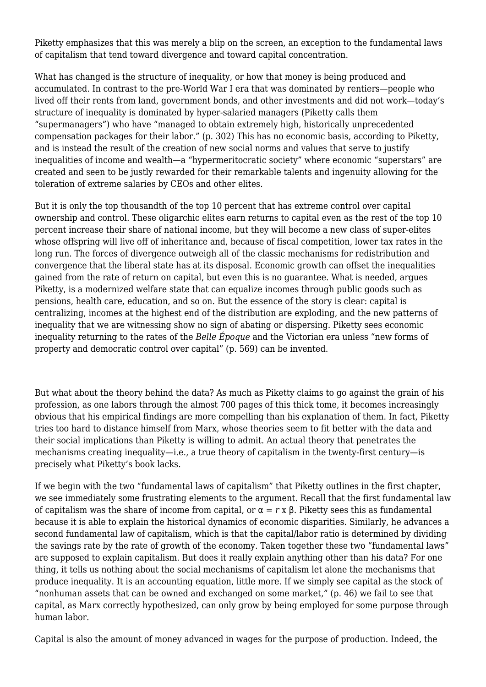Piketty emphasizes that this was merely a blip on the screen, an exception to the fundamental laws of capitalism that tend toward divergence and toward capital concentration.

What has changed is the structure of inequality, or how that money is being produced and accumulated. In contrast to the pre-World War I era that was dominated by rentiers—people who lived off their rents from land, government bonds, and other investments and did not work—today's structure of inequality is dominated by hyper-salaried managers (Piketty calls them "supermanagers") who have "managed to obtain extremely high, historically unprecedented compensation packages for their labor." (p. 302) This has no economic basis, according to Piketty, and is instead the result of the creation of new social norms and values that serve to justify inequalities of income and wealth—a "hypermeritocratic society" where economic "superstars" are created and seen to be justly rewarded for their remarkable talents and ingenuity allowing for the toleration of extreme salaries by CEOs and other elites.

But it is only the top thousandth of the top 10 percent that has extreme control over capital ownership and control. These oligarchic elites earn returns to capital even as the rest of the top 10 percent increase their share of national income, but they will become a new class of super-elites whose offspring will live off of inheritance and, because of fiscal competition, lower tax rates in the long run. The forces of divergence outweigh all of the classic mechanisms for redistribution and convergence that the liberal state has at its disposal. Economic growth can offset the inequalities gained from the rate of return on capital, but even this is no guarantee. What is needed, argues Piketty, is a modernized welfare state that can equalize incomes through public goods such as pensions, health care, education, and so on. But the essence of the story is clear: capital is centralizing, incomes at the highest end of the distribution are exploding, and the new patterns of inequality that we are witnessing show no sign of abating or dispersing. Piketty sees economic inequality returning to the rates of the *Belle Époque* and the Victorian era unless "new forms of property and democratic control over capital" (p. 569) can be invented.

But what about the theory behind the data? As much as Piketty claims to go against the grain of his profession, as one labors through the almost 700 pages of this thick tome, it becomes increasingly obvious that his empirical findings are more compelling than his explanation of them. In fact, Piketty tries too hard to distance himself from Marx, whose theories seem to fit better with the data and their social implications than Piketty is willing to admit. An actual theory that penetrates the mechanisms creating inequality—i.e., a true theory of capitalism in the twenty-first century—is precisely what Piketty's book lacks.

If we begin with the two "fundamental laws of capitalism" that Piketty outlines in the first chapter, we see immediately some frustrating elements to the argument. Recall that the first fundamental law of capitalism was the share of income from capital, or  $\alpha = r \times \beta$ . Piketty sees this as fundamental because it is able to explain the historical dynamics of economic disparities. Similarly, he advances a second fundamental law of capitalism, which is that the capital/labor ratio is determined by dividing the savings rate by the rate of growth of the economy. Taken together these two "fundamental laws" are supposed to explain capitalism. But does it really explain anything other than his data? For one thing, it tells us nothing about the social mechanisms of capitalism let alone the mechanisms that produce inequality. It is an accounting equation, little more. If we simply see capital as the stock of "nonhuman assets that can be owned and exchanged on some market," (p. 46) we fail to see that capital, as Marx correctly hypothesized, can only grow by being employed for some purpose through human labor.

Capital is also the amount of money advanced in wages for the purpose of production. Indeed, the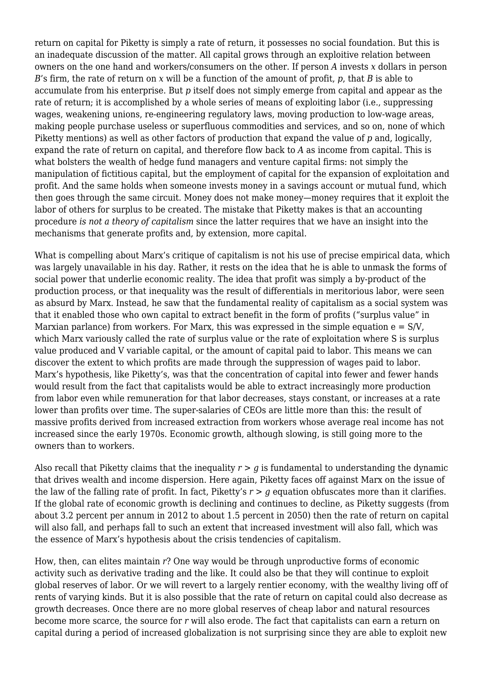return on capital for Piketty is simply a rate of return, it possesses no social foundation. But this is an inadequate discussion of the matter. All capital grows through an exploitive relation between owners on the one hand and workers/consumers on the other. If person *A* invests *x* dollars in person *B*'s firm, the rate of return on *x* will be a function of the amount of profit, *p*, that *B* is able to accumulate from his enterprise. But *p* itself does not simply emerge from capital and appear as the rate of return; it is accomplished by a whole series of means of exploiting labor (i.e., suppressing wages, weakening unions, re-engineering regulatory laws, moving production to low-wage areas, making people purchase useless or superfluous commodities and services, and so on, none of which Piketty mentions) as well as other factors of production that expand the value of *p* and, logically, expand the rate of return on capital, and therefore flow back to *A* as income from capital. This is what bolsters the wealth of hedge fund managers and venture capital firms: not simply the manipulation of fictitious capital, but the employment of capital for the expansion of exploitation and profit. And the same holds when someone invests money in a savings account or mutual fund, which then goes through the same circuit. Money does not make money—money requires that it exploit the labor of others for surplus to be created. The mistake that Piketty makes is that an accounting procedure *is not a theory of capitalism* since the latter requires that we have an insight into the mechanisms that generate profits and, by extension, more capital.

What is compelling about Marx's critique of capitalism is not his use of precise empirical data, which was largely unavailable in his day. Rather, it rests on the idea that he is able to unmask the forms of social power that underlie economic reality. The idea that profit was simply a by-product of the production process, or that inequality was the result of differentials in meritorious labor, were seen as absurd by Marx. Instead, he saw that the fundamental reality of capitalism as a social system was that it enabled those who own capital to extract benefit in the form of profits ("surplus value" in Marxian parlance) from workers. For Marx, this was expressed in the simple equation  $e = S/V$ . which Marx variously called the rate of surplus value or the rate of exploitation where S is surplus value produced and V variable capital, or the amount of capital paid to labor. This means we can discover the extent to which profits are made through the suppression of wages paid to labor. Marx's hypothesis, like Piketty's, was that the concentration of capital into fewer and fewer hands would result from the fact that capitalists would be able to extract increasingly more production from labor even while remuneration for that labor decreases, stays constant, or increases at a rate lower than profits over time. The super-salaries of CEOs are little more than this: the result of massive profits derived from increased extraction from workers whose average real income has not increased since the early 1970s. Economic growth, although slowing, is still going more to the owners than to workers.

Also recall that Piketty claims that the inequality  $r > g$  is fundamental to understanding the dynamic that drives wealth and income dispersion. Here again, Piketty faces off against Marx on the issue of the law of the falling rate of profit. In fact, Piketty's  $r > q$  equation obfuscates more than it clarifies. If the global rate of economic growth is declining and continues to decline, as Piketty suggests (from about 3.2 percent per annum in 2012 to about 1.5 percent in 2050) then the rate of return on capital will also fall, and perhaps fall to such an extent that increased investment will also fall, which was the essence of Marx's hypothesis about the crisis tendencies of capitalism.

How, then, can elites maintain *r*? One way would be through unproductive forms of economic activity such as derivative trading and the like. It could also be that they will continue to exploit global reserves of labor. Or we will revert to a largely rentier economy, with the wealthy living off of rents of varying kinds. But it is also possible that the rate of return on capital could also decrease as growth decreases. Once there are no more global reserves of cheap labor and natural resources become more scarce, the source for *r* will also erode. The fact that capitalists can earn a return on capital during a period of increased globalization is not surprising since they are able to exploit new